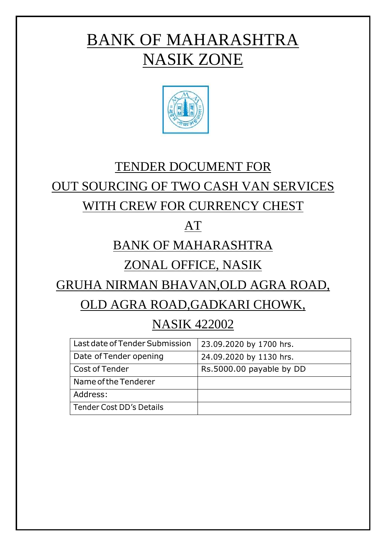# BANK OF MAHARASHTRA NASIK ZONE



## TENDER DOCUMENT FOR

## OUT SOURCING OF TWO CASH VAN SERVICES

## WITH CREW FOR CURRENCY CHEST

## AT

## BANK OF MAHARASHTRA

## ZONAL OFFICE, NASIK

## GRUHA NIRMAN BHAVAN,OLD AGRA ROAD,

## OLD AGRA ROAD,GADKARI CHOWK,

## NASIK 422002

| Last date of Tender Submission | 23.09.2020 by 1700 hrs.  |
|--------------------------------|--------------------------|
| Date of Tender opening         | 24.09.2020 by 1130 hrs.  |
| Cost of Tender                 | Rs.5000.00 payable by DD |
| Name of the Tenderer           |                          |
| Address:                       |                          |
| Tender Cost DD's Details       |                          |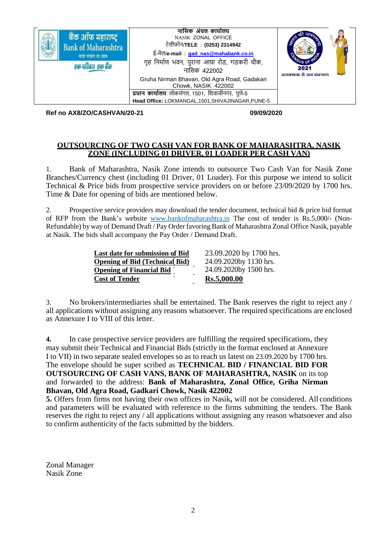

**Ref no AX8/ZO/CASHVAN/20-21 09/09/2020**

#### **OUTSOURCING OF TWO CASH VAN FOR BANK OF MAHARASHTRA, NASIK ZONE (INCLUDING 01 DRIVER, 01 LOADER PER CASH VAN)**

1. Bank of Maharashtra, Nasik Zone intends to outsource Two Cash Van for Nasik Zone Branches/Currency chest (including 01 Driver, 01 Loader). For this purpose we intend to solicit Technical & Price bids from prospective service providers on or before 23/09/2020 by 1700 hrs. Time & Date for opening of bids are mentioned below.

2. Prospective service providers may download the tender document, technical bid & price bid format of RFP from the Bank's website [www.bankofmaharashtra.in](http://www.bankofmaharashtra.in/) The cost of tender is Rs.5,000/- (Non-Refundable) by way of Demand Draft / Pay Order favoring Bank of Maharashtra Zonal Office Nasik, payable at Nasik. The bids shall accompany the Pay Order / Demand Draft.

| Last date for submission of Bid       | 23.09.2020 by 1700 hrs. |
|---------------------------------------|-------------------------|
| <b>Opening of Bid (Technical Bid)</b> | 24.09.2020by 1130 hrs.  |
| <b>Opening of Financial Bid</b>       | 24.09.2020by 1500 hrs.  |
| <b>Cost of Tender</b>                 | Rs.5,000.00             |

3. No brokers/intermediaries shall be entertained. The Bank reserves the right to reject any / all applications without assigning any reasons whatsoever. The required specifications are enclosed as Annexure I to VIII of this letter.

**4.** In case prospective service providers are fulfilling the required specifications, they may submit their Technical and Financial Bids (strictly in the format enclosed at Annexure I to VII) in two separate sealed envelopes so as to reach us latest on 23.09.2020 by 1700 hrs. The envelope should be super scribed as **TECHNICAL BID / FINANCIAL BID FOR OUTSOURCING OF CASH VANS, BANK OF MAHARASHTRA, NASIK** on its top and forwarded to the address: **Bank of Maharashtra, Zonal Office, Griha Nirman Bhavan, Old Agra Road, Gadkari Chowk, Nasik 422002**

**5.** Offers from firms not having their own offices in Nasik**,** will not be considered. All conditions and parameters will be evaluated with reference to the firms submitting the tenders. The Bank reserves the right to reject any / all applications without assigning any reason whatsoever and also to confirm authenticity of the facts submitted by the bidders.

Zonal Manager Nasik Zone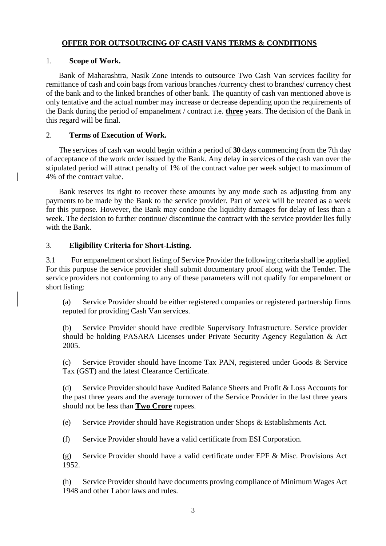#### **OFFER FOR OUTSOURCING OF CASH VANS TERMS & CONDITIONS**

#### 1. **Scope of Work.**

Bank of Maharashtra, Nasik Zone intends to outsource Two Cash Van services facility for remittance of cash and coin bags from various branches /currency chest to branches/ currency chest of the bank and to the linked branches of other bank. The quantity of cash van mentioned above is only tentative and the actual number may increase or decrease depending upon the requirements of the Bank during the period of empanelment / contract i.e. **three** years. The decision of the Bank in this regard will be final.

#### 2. **Terms of Execution of Work.**

The services of cash van would begin within a period of **30** days commencing from the 7th day of acceptance of the work order issued by the Bank. Any delay in services of the cash van over the stipulated period will attract penalty of 1% of the contract value per week subject to maximum of 4% of the contract value.

Bank reserves its right to recover these amounts by any mode such as adjusting from any payments to be made by the Bank to the service provider. Part of week will be treated as a week for this purpose. However, the Bank may condone the liquidity damages for delay of less than a week. The decision to further continue/ discontinue the contract with the service provider lies fully with the Bank.

### 3. **Eligibility Criteria for Short-Listing.**

3.1 For empanelment or short listing of Service Provider the following criteria shall be applied. For this purpose the service provider shall submit documentary proof along with the Tender. The service providers not conforming to any of these parameters will not qualify for empanelment or short listing:

(a) Service Provider should be either registered companies or registered partnership firms reputed for providing Cash Van services.

(b) Service Provider should have credible Supervisory Infrastructure. Service provider should be holding PASARA Licenses under Private Security Agency Regulation & Act 2005.

(c) Service Provider should have Income Tax PAN, registered under Goods & Service Tax (GST) and the latest Clearance Certificate.

(d) Service Provider should have Audited Balance Sheets and Profit & Loss Accounts for the past three years and the average turnover of the Service Provider in the last three years should not be less than **Two Crore** rupees.

(e) Service Provider should have Registration under Shops & Establishments Act.

(f) Service Provider should have a valid certificate from ESI Corporation.

(g) Service Provider should have a valid certificate under EPF & Misc. Provisions Act 1952.

(h) Service Provider should have documents proving compliance of Minimum Wages Act 1948 and other Labor laws and rules.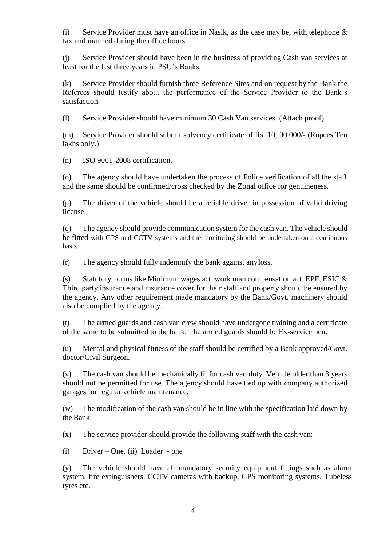(i) Service Provider must have an office in Nasik, as the case may be, with telephone  $\&$ fax and manned during the office hours.

(j) Service Provider should have been in the business of providing Cash van services at least for the last three years in PSU's Banks.

(k) Service Provider should furnish three Reference Sites and on request by the Bank the Referees should testify about the performance of the Service Provider to the Bank's satisfaction.

(l) Service Provider should have minimum 30 Cash Van services. (Attach proof).

(m) Service Provider should submit solvency certificate of Rs. 10, 00,000/- (Rupees Ten lakhs only.)

(n) ISO 9001-2008 certification.

(o) The agency should have undertaken the process of Police verification of all the staff and the same should be confirmed/cross checked by the Zonal office for genuineness.

(p) The driver of the vehicle should be a reliable driver in possession of valid driving license.

(q) The agency should provide communication system for the cash van. The vehicle should be fitted with GPS and CCTV systems and the monitoring should be undertaken on a continuous basis.

(r) The agency should fully indemnify the bank against anyloss.

(s) Statutory norms like Minimum wages act, work man compensation act, EPF, ESIC  $\&$ Third party insurance and insurance cover for their staff and property should be ensured by the agency. Any other requirement made mandatory by the Bank/Govt. machinery should also be complied by the agency.

(t) The armed guards and cash van crew should have undergone training and a certificate of the same to be submitted to the bank. The armed guards should be Ex-servicemen.

(u) Mental and physical fitness of the staff should be certified by a Bank approved/Govt. doctor/Civil Surgeon.

(v) The cash van should be mechanically fit for cash van duty. Vehicle older than 3 years should not be permitted for use. The agency should have tied up with company authorized garages for regular vehicle maintenance.

(w) The modification of the cash van should be in line with the specification laid down by the Bank.

(x) The service provider should provide the following staff with the cash van:

(i) Driver – One. (ii) Loader - one

(y) The vehicle should have all mandatory security equipment fittings such as alarm system, fire extinguishers, CCTV cameras with backup, GPS monitoring systems, Tubeless tyres etc.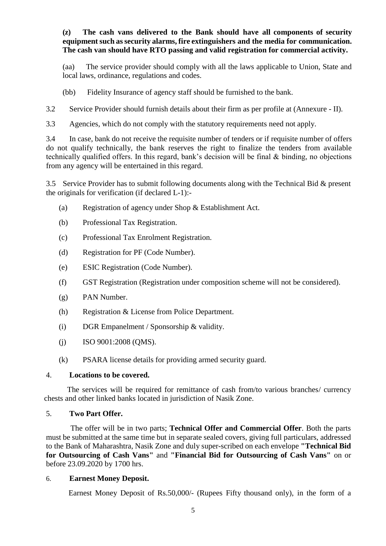**(z) The cash vans delivered to the Bank should have all components of security equipment such as security alarms, fire extinguishers and the media for communication. The cash van should have RTO passing and valid registration for commercial activity.**

(aa) The service provider should comply with all the laws applicable to Union, State and local laws, ordinance, regulations and codes.

(bb) Fidelity Insurance of agency staff should be furnished to the bank.

3.2 Service Provider should furnish details about their firm as per profile at (Annexure - II).

3.3 Agencies, which do not comply with the statutory requirements need not apply.

3.4 In case, bank do not receive the requisite number of tenders or if requisite number of offers do not qualify technically, the bank reserves the right to finalize the tenders from available technically qualified offers. In this regard, bank's decision will be final & binding, no objections from any agency will be entertained in this regard.

3.5 Service Provider has to submit following documents along with the Technical Bid & present the originals for verification (if declared L-1):-

- (a) Registration of agency under Shop & Establishment Act.
- (b) Professional Tax Registration.
- (c) Professional Tax Enrolment Registration.
- (d) Registration for PF (Code Number).
- (e) ESIC Registration (Code Number).
- (f) GST Registration (Registration under composition scheme will not be considered).
- (g) PAN Number.
- (h) Registration & License from Police Department.
- (i) DGR Empanelment / Sponsorship & validity.
- (j) ISO  $9001:2008$  (QMS).
- (k) PSARA license details for providing armed security guard.

#### 4. **Locations to be covered.**

The services will be required for remittance of cash from/to various branches/ currency chests and other linked banks located in jurisdiction of Nasik Zone.

#### 5. **Two Part Offer.**

 The offer will be in two parts; **Technical Offer and Commercial Offer**. Both the parts must be submitted at the same time but in separate sealed covers, giving full particulars, addressed to the Bank of Maharashtra, Nasik Zone and duly super-scribed on each envelope **"Technical Bid for Outsourcing of Cash Vans"** and **"Financial Bid for Outsourcing of Cash Vans"** on or before 23.09.2020 by 1700 hrs.

#### 6. **Earnest Money Deposit.**

Earnest Money Deposit of Rs.50,000/- (Rupees Fifty thousand only), in the form of a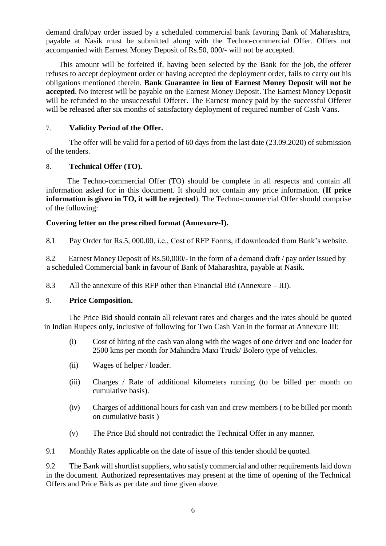demand draft/pay order issued by a scheduled commercial bank favoring Bank of Maharashtra, payable at Nasik must be submitted along with the Techno-commercial Offer. Offers not accompanied with Earnest Money Deposit of Rs.50, 000/- will not be accepted.

This amount will be forfeited if, having been selected by the Bank for the job, the offerer refuses to accept deployment order or having accepted the deployment order, fails to carry out his obligations mentioned therein. **Bank Guarantee in lieu of Earnest Money Deposit will not be accepted**. No interest will be payable on the Earnest Money Deposit. The Earnest Money Deposit will be refunded to the unsuccessful Offerer. The Earnest money paid by the successful Offerer will be released after six months of satisfactory deployment of required number of Cash Vans.

#### 7. **Validity Period of the Offer.**

 The offer will be valid for a period of 60 days from the last date (23.09.2020) of submission of the tenders.

#### 8. **Technical Offer (TO).**

 The Techno-commercial Offer (TO) should be complete in all respects and contain all information asked for in this document. It should not contain any price information. (**If price information is given in TO, it will be rejected**). The Techno-commercial Offer should comprise of the following:

#### **Covering letter on the prescribed format (Annexure-I).**

8.1 Pay Order for Rs.5, 000.00, i.e., Cost of RFP Forms, if downloaded from Bank's website.

8.2 Earnest Money Deposit of Rs.50,000/- in the form of a demand draft / pay order issued by a scheduled Commercial bank in favour of Bank of Maharashtra, payable at Nasik.

8.3 All the annexure of this RFP other than Financial Bid (Annexure – III).

#### 9. **Price Composition.**

 The Price Bid should contain all relevant rates and charges and the rates should be quoted in Indian Rupees only, inclusive of following for Two Cash Van in the format at Annexure III:

- (i) Cost of hiring of the cash van along with the wages of one driver and one loader for 2500 kms per month for Mahindra Maxi Truck/ Bolero type of vehicles.
- (ii) Wages of helper / loader.
- (iii) Charges / Rate of additional kilometers running (to be billed per month on cumulative basis).
- (iv) Charges of additional hours for cash van and crew members ( to be billed per month on cumulative basis )
- (v) The Price Bid should not contradict the Technical Offer in any manner.
- 9.1 Monthly Rates applicable on the date of issue of this tender should be quoted.

9.2 The Bank will shortlist suppliers, who satisfy commercial and other requirements laid down in the document. Authorized representatives may present at the time of opening of the Technical Offers and Price Bids as per date and time given above.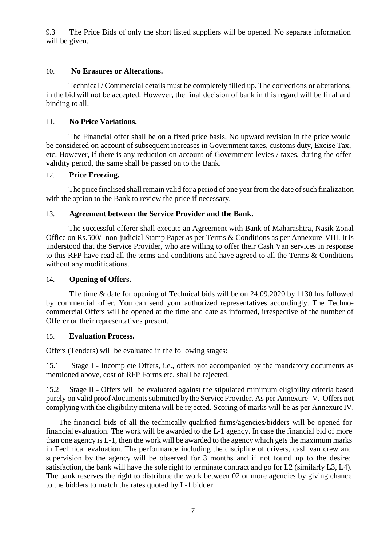9.3 The Price Bids of only the short listed suppliers will be opened. No separate information will be given.

#### 10. **No Erasures or Alterations.**

 Technical / Commercial details must be completely filled up. The corrections or alterations, in the bid will not be accepted. However, the final decision of bank in this regard will be final and binding to all.

#### 11. **No Price Variations.**

 The Financial offer shall be on a fixed price basis. No upward revision in the price would be considered on account of subsequent increases in Government taxes, customs duty, Excise Tax, etc. However, if there is any reduction on account of Government levies / taxes, during the offer validity period, the same shall be passed on to the Bank.

#### 12. **Price Freezing.**

The price finalised shall remain valid for a period of one year from the date of such finalization with the option to the Bank to review the price if necessary.

#### 13. **Agreement between the Service Provider and the Bank.**

 The successful offerer shall execute an Agreement with Bank of Maharashtra, Nasik Zonal Office on Rs.500/- non-judicial Stamp Paper as per Terms & Conditions as per Annexure-VIII. It is understood that the Service Provider, who are willing to offer their Cash Van services in response to this RFP have read all the terms and conditions and have agreed to all the Terms & Conditions without any modifications.

#### 14. **Opening of Offers.**

 The time & date for opening of Technical bids will be on 24.09.2020 by 1130 hrs followed by commercial offer. You can send your authorized representatives accordingly. The Technocommercial Offers will be opened at the time and date as informed, irrespective of the number of Offerer or their representatives present.

#### 15. **Evaluation Process.**

Offers (Tenders) will be evaluated in the following stages:

15.1 Stage I - Incomplete Offers, i.e., offers not accompanied by the mandatory documents as mentioned above, cost of RFP Forms etc. shall be rejected.

15.2 Stage II - Offers will be evaluated against the stipulated minimum eligibility criteria based purely on valid proof /documentssubmitted bythe Service Provider. As per Annexure- V. Offers not complying with the eligibility criteria will be rejected. Scoring of marks will be as per Annexure IV.

The financial bids of all the technically qualified firms/agencies/bidders will be opened for financial evaluation. The work will be awarded to the L-1 agency. In case the financial bid of more than one agency is L-1, then the work will be awarded to the agency which gets the maximum marks in Technical evaluation. The performance including the discipline of drivers, cash van crew and supervision by the agency will be observed for 3 months and if not found up to the desired satisfaction, the bank will have the sole right to terminate contract and go for L2 (similarly L3, L4). The bank reserves the right to distribute the work between 02 or more agencies by giving chance to the bidders to match the rates quoted by L-1 bidder.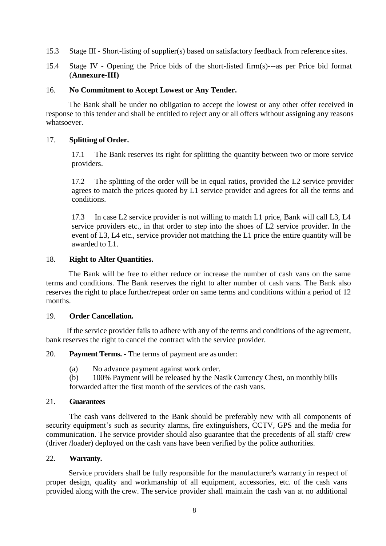- 15.3 Stage III Short-listing of supplier(s) based on satisfactory feedback from reference sites.
- 15.4 Stage IV Opening the Price bids of the short-listed firm(s)---as per Price bid format (**Annexure-III)**

#### 16. **No Commitment to Accept Lowest or Any Tender.**

 The Bank shall be under no obligation to accept the lowest or any other offer received in response to this tender and shall be entitled to reject any or all offers without assigning any reasons whatsoever.

#### 17. **Splitting of Order.**

17.1 The Bank reserves its right for splitting the quantity between two or more service providers.

17.2 The splitting of the order will be in equal ratios, provided the L2 service provider agrees to match the prices quoted by L1 service provider and agrees for all the terms and conditions.

17.3 In case L2 service provider is not willing to match L1 price, Bank will call L3, L4 service providers etc., in that order to step into the shoes of L2 service provider. In the event of L3, L4 etc., service provider not matching the L1 price the entire quantity will be awarded to L1.

#### 18. **Right to Alter Quantities.**

 The Bank will be free to either reduce or increase the number of cash vans on the same terms and conditions. The Bank reserves the right to alter number of cash vans. The Bank also reserves the right to place further/repeat order on same terms and conditions within a period of 12 months.

#### 19. **Order Cancellation.**

 If the service provider fails to adhere with any of the terms and conditions of the agreement, bank reserves the right to cancel the contract with the service provider.

20. **Payment Terms. -** The terms of payment are as under:

(a) No advance payment against work order.

(b) 100% Payment will be released by the Nasik Currency Chest, on monthly bills forwarded after the first month of the services of the cash vans.

#### 21. **Guarantees**

 The cash vans delivered to the Bank should be preferably new with all components of security equipment's such as security alarms, fire extinguishers, CCTV, GPS and the media for communication. The service provider should also guarantee that the precedents of all staff/ crew (driver /loader) deployed on the cash vans have been verified by the police authorities.

#### 22. **Warranty.**

 Service providers shall be fully responsible for the manufacturer's warranty in respect of proper design, quality and workmanship of all equipment, accessories, etc. of the cash vans provided along with the crew. The service provider shall maintain the cash van at no additional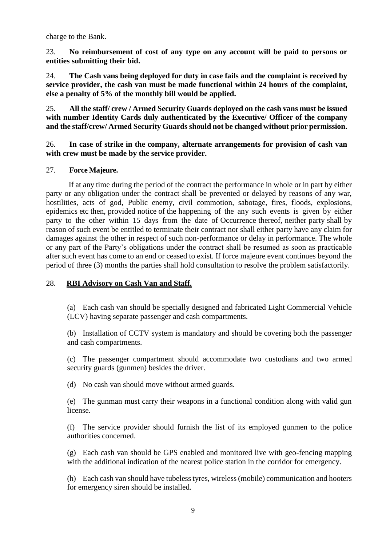charge to the Bank.

23. **No reimbursement of cost of any type on any account will be paid to persons or entities submitting their bid.**

24. **The Cash vans being deployed for duty in case fails and the complaint is received by service provider, the cash van must be made functional within 24 hours of the complaint, else a penalty of 5% of the monthly bill would be applied.**

25. **All the staff/ crew / Armed Security Guards deployed on the cash vans must be issued with number Identity Cards duly authenticated by the Executive/ Officer of the company and the staff/crew/ Armed Security Guards should not be changed without prior permission.**

26. **In case of strike in the company, alternate arrangements for provision of cash van with crew must be made by the service provider.**

### 27. **Force Majeure.**

 If at any time during the period of the contract the performance in whole or in part by either party or any obligation under the contract shall be prevented or delayed by reasons of any war, hostilities, acts of god, Public enemy, civil commotion, sabotage, fires, floods, explosions, epidemics etc then, provided notice of the happening of the any such events is given by either party to the other within 15 days from the date of Occurrence thereof, neither party shall by reason of such event be entitled to terminate their contract nor shall either party have any claim for damages against the other in respect of such non-performance or delay in performance. The whole or any part of the Party's obligations under the contract shall be resumed as soon as practicable after such event has come to an end or ceased to exist. If force majeure event continues beyond the period of three (3) months the parties shall hold consultation to resolve the problem satisfactorily.

### 28. **RBI Advisory on Cash Van and Staff.**

(a) Each cash van should be specially designed and fabricated Light Commercial Vehicle (LCV) having separate passenger and cash compartments.

(b) Installation of CCTV system is mandatory and should be covering both the passenger and cash compartments.

(c) The passenger compartment should accommodate two custodians and two armed security guards (gunmen) besides the driver.

(d) No cash van should move without armed guards.

(e) The gunman must carry their weapons in a functional condition along with valid gun license.

(f) The service provider should furnish the list of its employed gunmen to the police authorities concerned.

(g) Each cash van should be GPS enabled and monitored live with geo-fencing mapping with the additional indication of the nearest police station in the corridor for emergency.

(h) Each cash van should have tubeless tyres, wireless (mobile) communication and hooters for emergency siren should be installed.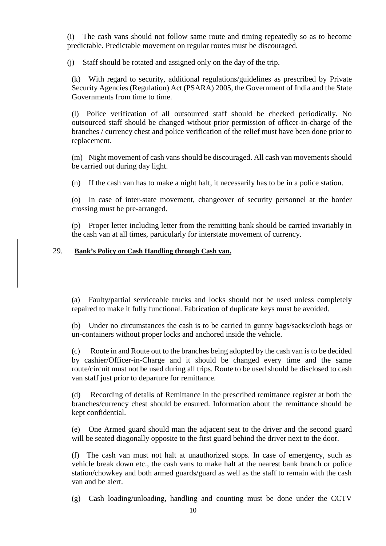(i) The cash vans should not follow same route and timing repeatedly so as to become predictable. Predictable movement on regular routes must be discouraged.

(j) Staff should be rotated and assigned only on the day of the trip.

(k) With regard to security, additional regulations/guidelines as prescribed by Private Security Agencies (Regulation) Act (PSARA) 2005, the Government of India and the State Governments from time to time.

(l) Police verification of all outsourced staff should be checked periodically. No outsourced staff should be changed without prior permission of officer-in-charge of the branches / currency chest and police verification of the relief must have been done prior to replacement.

(m) Night movement of cash vans should be discouraged. All cash van movements should be carried out during day light.

(n) If the cash van has to make a night halt, it necessarily has to be in a police station.

(o) In case of inter-state movement, changeover of security personnel at the border crossing must be pre-arranged.

(p) Proper letter including letter from the remitting bank should be carried invariably in the cash van at all times, particularly for interstate movement of currency.

#### 29. **Bank's Policy on Cash Handling through Cash van.**

(a) Faulty/partial serviceable trucks and locks should not be used unless completely repaired to make it fully functional. Fabrication of duplicate keys must be avoided.

(b) Under no circumstances the cash is to be carried in gunny bags/sacks/cloth bags or un-containers without proper locks and anchored inside the vehicle.

(c) Route in and Route out to the branches being adopted by the cash van is to be decided by cashier/Officer-in-Charge and it should be changed every time and the same route/circuit must not be used during all trips. Route to be used should be disclosed to cash van staff just prior to departure for remittance.

(d) Recording of details of Remittance in the prescribed remittance register at both the branches/currency chest should be ensured. Information about the remittance should be kept confidential.

(e) One Armed guard should man the adjacent seat to the driver and the second guard will be seated diagonally opposite to the first guard behind the driver next to the door.

(f) The cash van must not halt at unauthorized stops. In case of emergency, such as vehicle break down etc., the cash vans to make halt at the nearest bank branch or police station/chowkey and both armed guards/guard as well as the staff to remain with the cash van and be alert.

(g) Cash loading/unloading, handling and counting must be done under the CCTV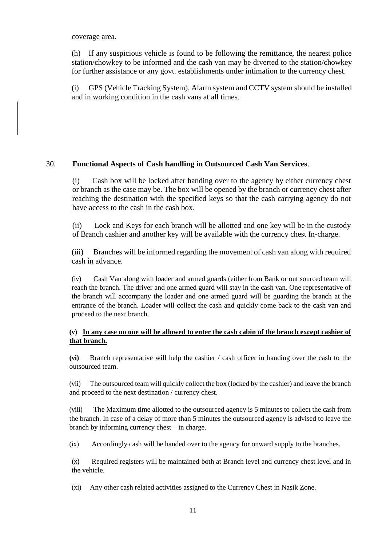#### coverage area.

(h) If any suspicious vehicle is found to be following the remittance, the nearest police station/chowkey to be informed and the cash van may be diverted to the station/chowkey for further assistance or any govt. establishments under intimation to the currency chest.

(i) GPS (Vehicle Tracking System), Alarm system and CCTV system should be installed and in working condition in the cash vans at all times.

#### 30. **Functional Aspects of Cash handling in Outsourced Cash Van Services**.

(i) Cash box will be locked after handing over to the agency by either currency chest or branch as the case may be. The box will be opened by the branch or currency chest after reaching the destination with the specified keys so that the cash carrying agency do not have access to the cash in the cash box.

(ii) Lock and Keys for each branch will be allotted and one key will be in the custody of Branch cashier and another key will be available with the currency chest In-charge.

(iii) Branches will be informed regarding the movement of cash van along with required cash in advance.

(iv) Cash Van along with loader and armed guards (either from Bank or out sourced team will reach the branch. The driver and one armed guard will stay in the cash van. One representative of the branch will accompany the loader and one armed guard will be guarding the branch at the entrance of the branch. Loader will collect the cash and quickly come back to the cash van and proceed to the next branch.

#### **(v) In any case no one will be allowed to enter the cash cabin of the branch except cashier of that branch.**

**(vi)** Branch representative will help the cashier / cash officer in handing over the cash to the outsourced team.

(vii) The outsourced team will quickly collect the box (locked by the cashier) and leave the branch and proceed to the next destination / currency chest.

(viii) The Maximum time allotted to the outsourced agency is 5 minutes to collect the cash from the branch. In case of a delay of more than 5 minutes the outsourced agency is advised to leave the branch by informing currency chest – in charge.

(ix) Accordingly cash will be handed over to the agency for onward supply to the branches.

(x) Required registers will be maintained both at Branch level and currency chest level and in the vehicle.

(xi) Any other cash related activities assigned to the Currency Chest in Nasik Zone.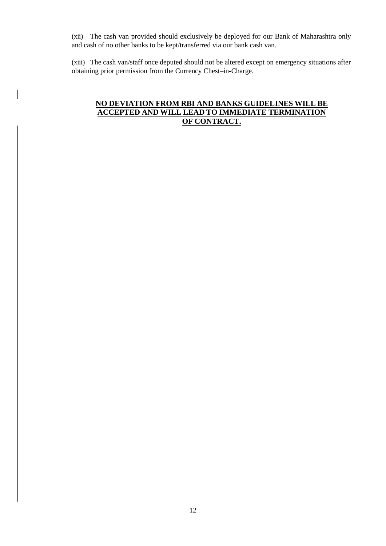(xii) The cash van provided should exclusively be deployed for our Bank of Maharashtra only and cash of no other banks to be kept/transferred via our bank cash van.

(xiii) The cash van/staff once deputed should not be altered except on emergency situations after obtaining prior permission from the Currency Chest–in-Charge.

### **NO DEVIATION FROM RBI AND BANKS GUIDELINES WILL BE ACCEPTED AND WILL LEAD TO IMMEDIATE TERMINATION OF CONTRACT.**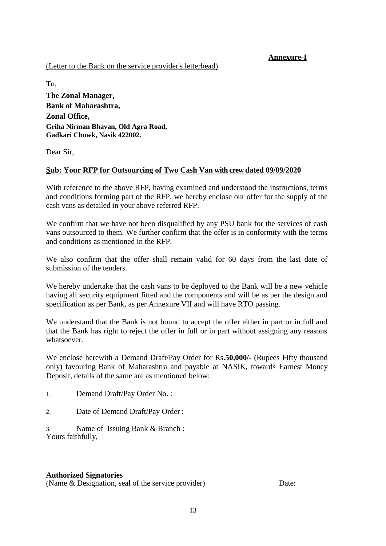## **Annexure-I**

### (Letter to the Bank on the service provider's letterhead)

To, **The Zonal Manager, Bank of Maharashtra, Zonal Office, Griha Nirman Bhavan, Old Agra Road, Gadkari Chowk, Nasik 422002.**

Dear Sir,

## **Sub: Your RFP for Outsourcing of Two Cash Van with crew dated 09/09/2020**

With reference to the above RFP, having examined and understood the instructions, terms and conditions forming part of the RFP, we hereby enclose our offer for the supply of the cash vans as detailed in your above referred RFP.

We confirm that we have not been disqualified by any PSU bank for the services of cash vans outsourced to them. We further confirm that the offer is in conformity with the terms and conditions as mentioned in the RFP.

We also confirm that the offer shall remain valid for 60 days from the last date of submission of the tenders.

We hereby undertake that the cash vans to be deployed to the Bank will be a new vehicle having all security equipment fitted and the components and will be as per the design and specification as per Bank, as per Annexure VII and will have RTO passing.

We understand that the Bank is not bound to accept the offer either in part or in full and that the Bank has right to reject the offer in full or in part without assigning any reasons whatsoever.

We enclose herewith a Demand Draft/Pay Order for Rs.**50,000/-** (Rupees Fifty thousand only) favouring Bank of Maharashtra and payable at NASIK, towards Earnest Money Deposit, details of the same are as mentioned below:

1. Demand Draft/Pay Order No. :

2. Date of Demand Draft/Pay Order :

Name of Issuing Bank & Branch : Yours faithfully,

#### **Authorized Signatories**

(Name & Designation, seal of the service provider) Date: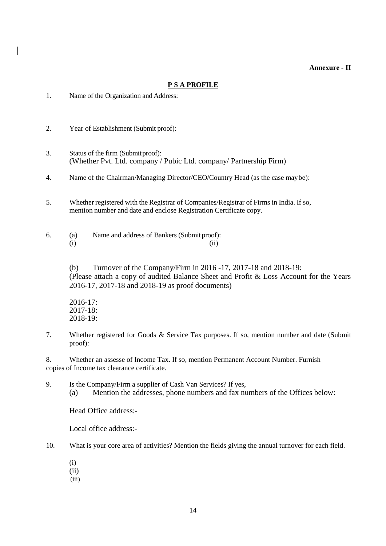**Annexure - II** 

#### **P S A PROFILE**

- 1. Name of the Organization and Address:
- 2. Year of Establishment (Submit proof):
- 3. Status of the firm (Submitproof): (Whether Pvt. Ltd. company / Pubic Ltd. company/ Partnership Firm)
- 4. Name of the Chairman/Managing Director/CEO/Country Head (as the case maybe):
- 5. Whether registered with the Registrar of Companies/Registrar of Firms in India. If so, mention number and date and enclose Registration Certificate copy.

6. (a) Name and address of Bankers (Submit proof):  $(i)$   $(ii)$ 

> (b) Turnover of the Company/Firm in 2016 -17, 2017-18 and 2018-19: (Please attach a copy of audited Balance Sheet and Profit & Loss Account for the Years 2016-17, 2017-18 and 2018-19 as proof documents)

2016-17: 2017-18: 2018-19:

7. Whether registered for Goods & Service Tax purposes. If so, mention number and date (Submit proof):

8. Whether an assesse of Income Tax. If so, mention Permanent Account Number. Furnish copies of Income tax clearance certificate.

9. Is the Company/Firm a supplier of Cash Van Services? If yes, (a) Mention the addresses, phone numbers and fax numbers of the Offices below:

Head Office address:-

Local office address:-

- 10. What is your core area of activities? Mention the fields giving the annual turnover for each field.
	- (i)
	- (ii)
	- (iii)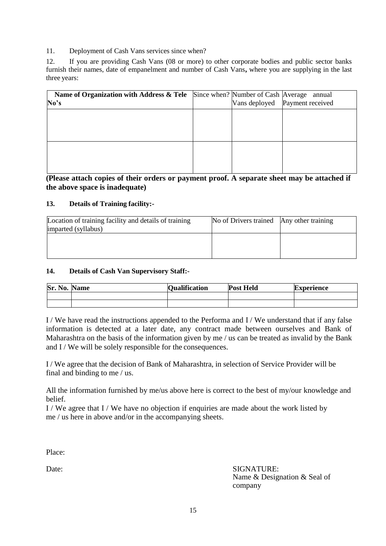11. Deployment of Cash Vans services since when?

12. If you are providing Cash Vans (08 or more) to other corporate bodies and public sector banks furnish their names, date of empanelment and number of Cash Vans**,** where you are supplying in the last three years:

| Name of Organization with Address & Tele<br>No's |  | Since when? Number of Cash Average annual<br>Vans deployed Payment received |
|--------------------------------------------------|--|-----------------------------------------------------------------------------|
|                                                  |  |                                                                             |
|                                                  |  |                                                                             |
|                                                  |  |                                                                             |
|                                                  |  |                                                                             |

**(Please attach copies of their orders or payment proof. A separate sheet may be attached if the above space is inadequate)**

#### **13. Details of Training facility:-**

| Location of training facility and details of training | No of Drivers trained Any other training |  |
|-------------------------------------------------------|------------------------------------------|--|
| imparted (syllabus)                                   |                                          |  |
|                                                       |                                          |  |
|                                                       |                                          |  |
|                                                       |                                          |  |
|                                                       |                                          |  |

#### **14. Details of Cash Van Supervisory Staff:-**

| Sr.<br>$\bullet$<br>NU, | ame | <b>Condification</b> | <b>Post Held</b> | Experience |
|-------------------------|-----|----------------------|------------------|------------|
|                         |     |                      |                  |            |
|                         |     |                      |                  |            |

I / We have read the instructions appended to the Performa and I / We understand that if any false information is detected at a later date, any contract made between ourselves and Bank of Maharashtra on the basis of the information given by me / us can be treated as invalid by the Bank and  $I/W$ e will be solely responsible for the consequences.

I / We agree that the decision of Bank of Maharashtra, in selection of Service Provider will be final and binding to me / us.

All the information furnished by me/us above here is correct to the best of my/our knowledge and belief.

I / We agree that I / We have no objection if enquiries are made about the work listed by me / us here in above and/or in the accompanying sheets.

Place:

Date: SIGNATURE: Name & Designation & Seal of company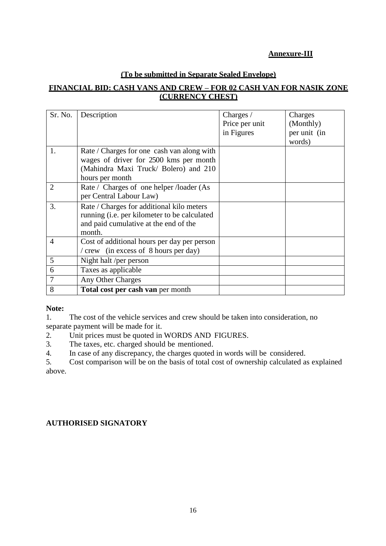## **Annexure-III**

## **(To be submitted in Separate Sealed Envelope)**

## **FINANCIAL BID: CASH VANS AND CREW – FOR 02 CASH VAN FOR NASIK ZONE (CURRENCY CHEST)**

| Sr. No.        | Description                                  | Charges /      | Charges      |
|----------------|----------------------------------------------|----------------|--------------|
|                |                                              | Price per unit | (Monthly)    |
|                |                                              | in Figures     | per unit (in |
|                |                                              |                | words)       |
|                | Rate / Charges for one cash van along with   |                |              |
|                | wages of driver for 2500 kms per month       |                |              |
|                | (Mahindra Maxi Truck/ Bolero) and 210        |                |              |
|                | hours per month                              |                |              |
|                | Rate / Charges of one helper /loader (As     |                |              |
|                | per Central Labour Law)                      |                |              |
| 3.             | Rate / Charges for additional kilo meters    |                |              |
|                | running (i.e. per kilometer to be calculated |                |              |
|                | and paid cumulative at the end of the        |                |              |
|                | month.                                       |                |              |
| $\overline{4}$ | Cost of additional hours per day per person  |                |              |
|                | / crew (in excess of 8 hours per day)        |                |              |
| 5              | Night halt /per person                       |                |              |
| 6              | Taxes as applicable                          |                |              |
| $\overline{7}$ | Any Other Charges                            |                |              |
| 8              | Total cost per cash van per month            |                |              |

#### **Note:**

1. The cost of the vehicle services and crew should be taken into consideration, no separate payment will be made for it.

- 2. Unit prices must be quoted in WORDS AND FIGURES.
- 3. The taxes, etc. charged should be mentioned.
- 4. In case of any discrepancy, the charges quoted in words will be considered.

5. Cost comparison will be on the basis of total cost of ownership calculated as explained above.

## **AUTHORISED SIGNATORY**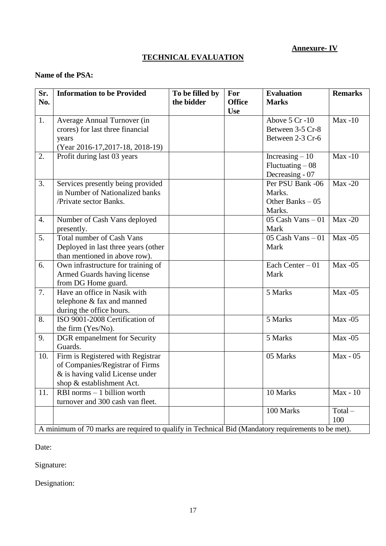## **Annexure- IV**

## **TECHNICAL EVALUATION**

## **Name of the PSA:**

| Sr.<br>No.       | <b>Information to be Provided</b>                                                                                                      | To be filled by<br>the bidder | For<br><b>Office</b><br><b>Use</b> | <b>Evaluation</b><br><b>Marks</b>                         | <b>Remarks</b>   |
|------------------|----------------------------------------------------------------------------------------------------------------------------------------|-------------------------------|------------------------------------|-----------------------------------------------------------|------------------|
| 1.               | Average Annual Turnover (in<br>crores) for last three financial<br>years<br>(Year 2016-17,2017-18, 2018-19)                            |                               |                                    | Above 5 Cr-10<br>Between 3-5 Cr-8<br>Between 2-3 Cr-6     | $Max -10$        |
| 2.               | Profit during last 03 years                                                                                                            |                               |                                    | Increasing $-10$<br>$Fluctuating - 08$<br>Decreasing - 07 | $Max -10$        |
| 3.               | Services presently being provided<br>in Number of Nationalized banks<br>/Private sector Banks.                                         |                               |                                    | Per PSU Bank -06<br>Marks.<br>Other Banks $-05$<br>Marks. | $Max -20$        |
| $\overline{4}$ . | Number of Cash Vans deployed<br>presently.                                                                                             |                               |                                    | 05 Cash Vans $-01$<br>Mark                                | $Max -20$        |
| 5.               | <b>Total number of Cash Vans</b><br>Deployed in last three years (other<br>than mentioned in above row).                               |                               |                                    | $05$ Cash Vans $-01$<br>Mark                              | $Max -05$        |
| 6.               | Own infrastructure for training of<br>Armed Guards having license<br>from DG Home guard.                                               |                               |                                    | Each Center $-01$<br>Mark                                 | $Max -05$        |
| 7.               | Have an office in Nasik with<br>telephone & fax and manned<br>during the office hours.                                                 |                               |                                    | 5 Marks                                                   | $Max -05$        |
| 8.               | ISO 9001-2008 Certification of<br>the firm (Yes/No).                                                                                   |                               |                                    | 5 Marks                                                   | $Max -05$        |
| 9.               | DGR empanelment for Security<br>Guards.                                                                                                |                               |                                    | 5 Marks                                                   | $Max -05$        |
| 10.              | Firm is Registered with Registrar<br>of Companies/Registrar of Firms<br>$&$ is having valid License under<br>shop & establishment Act. |                               |                                    | 05 Marks                                                  | Max - 05         |
| 11.              | RBI norms $-1$ billion worth<br>turnover and 300 cash van fleet.                                                                       |                               |                                    | 10 Marks                                                  | Max - 10         |
|                  | A minimum of 70 marks are required to qualify in Technical Bid (Mandatory requirements to be met).                                     |                               |                                    | 100 Marks                                                 | $Total -$<br>100 |

Date:

Signature:

Designation: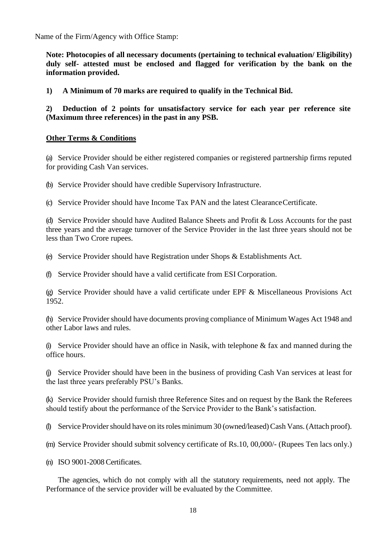Name of the Firm/Agency with Office Stamp:

**Note: Photocopies of all necessary documents (pertaining to technical evaluation/ Eligibility) duly self- attested must be enclosed and flagged for verification by the bank on the information provided.**

**1) A Minimum of 70 marks are required to qualify in the Technical Bid.**

**2) Deduction of 2 points for unsatisfactory service for each year per reference site (Maximum three references) in the past in any PSB.**

#### **Other Terms & Conditions**

(a) Service Provider should be either registered companies or registered partnership firms reputed for providing Cash Van services.

(b) Service Provider should have credible Supervisory Infrastructure.

(c) Service Provider should have Income Tax PAN and the latest ClearanceCertificate.

(d) Service Provider should have Audited Balance Sheets and Profit & Loss Accounts for the past three years and the average turnover of the Service Provider in the last three years should not be less than Two Crore rupees.

(e) Service Provider should have Registration under Shops & Establishments Act.

(f) Service Provider should have a valid certificate from ESI Corporation.

(g) Service Provider should have a valid certificate under EPF & Miscellaneous Provisions Act 1952.

(h) Service Provider should have documents proving compliance of Minimum Wages Act 1948 and other Labor laws and rules.

(i) Service Provider should have an office in Nasik, with telephone  $\&$  fax and manned during the office hours.

(j) Service Provider should have been in the business of providing Cash Van services at least for the last three years preferably PSU's Banks.

(k) Service Provider should furnish three Reference Sites and on request by the Bank the Referees should testify about the performance of the Service Provider to the Bank's satisfaction.

(l) Service Providershould have on itsroles minimum 30 (owned/leased)Cash Vans. (Attach proof).

(m) Service Provider should submit solvency certificate of Rs.10, 00,000/- (Rupees Ten lacs only.)

(n) ISO 9001-2008 Certificates.

The agencies, which do not comply with all the statutory requirements, need not apply. The Performance of the service provider will be evaluated by the Committee.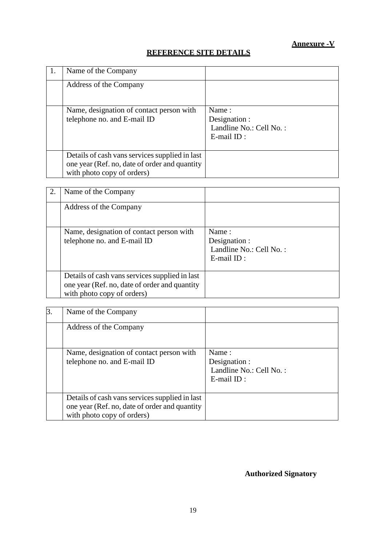## **REFERENCE SITE DETAILS**

| Name of the Company                                                                                                           |                                                                       |
|-------------------------------------------------------------------------------------------------------------------------------|-----------------------------------------------------------------------|
| Address of the Company                                                                                                        |                                                                       |
| Name, designation of contact person with<br>telephone no. and E-mail ID                                                       | Name:<br>Designation :<br>Landline No.: Cell No.:<br>$E$ -mail $ID$ : |
| Details of cash vans services supplied in last<br>one year (Ref. no, date of order and quantity<br>with photo copy of orders) |                                                                       |

| 2. | Name of the Company                                                                                                           |                                                                    |
|----|-------------------------------------------------------------------------------------------------------------------------------|--------------------------------------------------------------------|
|    | Address of the Company                                                                                                        |                                                                    |
|    | Name, designation of contact person with<br>telephone no. and E-mail ID                                                       | Name:<br>Designation :<br>Landline No.: Cell No.:<br>$E$ -mail ID: |
|    | Details of cash vans services supplied in last<br>one year (Ref. no, date of order and quantity<br>with photo copy of orders) |                                                                    |

| $\overline{3}$ . | Name of the Company                                                                                                           |                                                                    |
|------------------|-------------------------------------------------------------------------------------------------------------------------------|--------------------------------------------------------------------|
|                  | Address of the Company                                                                                                        |                                                                    |
|                  | Name, designation of contact person with<br>telephone no. and E-mail ID                                                       | Name:<br>Designation :<br>Landline No.: Cell No.:<br>$E$ -mail ID: |
|                  | Details of cash vans services supplied in last<br>one year (Ref. no, date of order and quantity<br>with photo copy of orders) |                                                                    |

## **Authorized Signatory**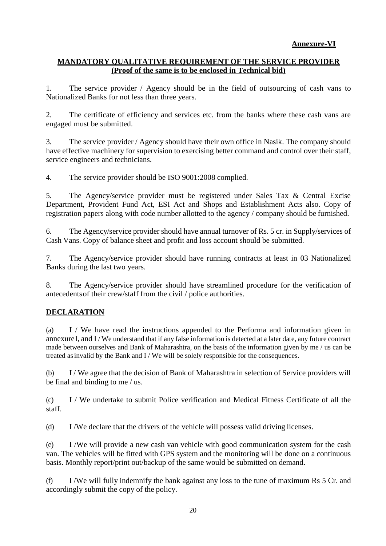## **Annexure-VI**

#### **MANDATORY QUALITATIVE REQUIREMENT OF THE SERVICE PROVIDER (Proof of the same is to be enclosed in Technical bid)**

1. The service provider / Agency should be in the field of outsourcing of cash vans to Nationalized Banks for not less than three years.

2. The certificate of efficiency and services etc. from the banks where these cash vans are engaged must be submitted.

3. The service provider / Agency should have their own office in Nasik. The company should have effective machinery for supervision to exercising better command and control over their staff, service engineers and technicians.

4. The service provider should be ISO 9001:2008 complied.

5. The Agency/service provider must be registered under Sales Tax & Central Excise Department, Provident Fund Act, ESI Act and Shops and Establishment Acts also. Copy of registration papers along with code number allotted to the agency / company should be furnished.

6. The Agency/service provider should have annual turnover of Rs. 5 cr. in Supply/services of Cash Vans. Copy of balance sheet and profit and loss account should be submitted.

7. The Agency/service provider should have running contracts at least in 03 Nationalized Banks during the last two years.

8. The Agency/service provider should have streamlined procedure for the verification of antecedentsof their crew/staff from the civil / police authorities.

### **DECLARATION**

(a) I / We have read the instructions appended to the Performa and information given in annexureI, and I / We understand that if any false information is detected at a later date, any future contract made between ourselves and Bank of Maharashtra, on the basis of the information given by me / us can be treated asinvalid by the Bank and I / We will be solely responsible for the consequences.

(b) I / We agree that the decision of Bank of Maharashtra in selection of Service providers will be final and binding to me / us.

(c) I / We undertake to submit Police verification and Medical Fitness Certificate of all the staff.

(d) I /We declare that the drivers of the vehicle will possess valid driving licenses.

(e) I /We will provide a new cash van vehicle with good communication system for the cash van. The vehicles will be fitted with GPS system and the monitoring will be done on a continuous basis. Monthly report/print out/backup of the same would be submitted on demand.

(f) I /We will fully indemnify the bank against any loss to the tune of maximum Rs 5 Cr. and accordingly submit the copy of the policy.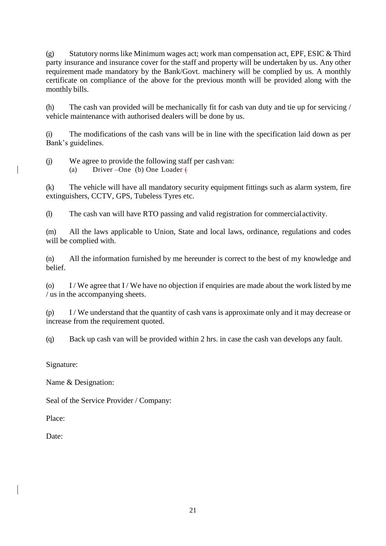(g) Statutory norms like Minimum wages act; work man compensation act, EPF, ESIC & Third party insurance and insurance cover for the staff and property will be undertaken by us. Any other requirement made mandatory by the Bank/Govt. machinery will be complied by us. A monthly certificate on compliance of the above for the previous month will be provided along with the monthly bills.

(h) The cash van provided will be mechanically fit for cash van duty and tie up for servicing / vehicle maintenance with authorised dealers will be done by us.

(i) The modifications of the cash vans will be in line with the specification laid down as per Bank's guidelines.

(j) We agree to provide the following staff per cash van: (a) Driver –One (b) One Loader (

(k) The vehicle will have all mandatory security equipment fittings such as alarm system, fire extinguishers, CCTV, GPS, Tubeless Tyres etc.

(l) The cash van will have RTO passing and valid registration for commercialactivity.

(m) All the laws applicable to Union, State and local laws, ordinance, regulations and codes will be complied with.

(n) All the information furnished by me hereunder is correct to the best of my knowledge and belief.

(o) I / We agree that I / We have no objection if enquiries are made about the work listed by me / us in the accompanying sheets.

(p) I / We understand that the quantity of cash vans is approximate only and it may decrease or increase from the requirement quoted.

(q) Back up cash van will be provided within 2 hrs. in case the cash van develops any fault.

Signature:

Name & Designation:

Seal of the Service Provider / Company:

Place:

Date: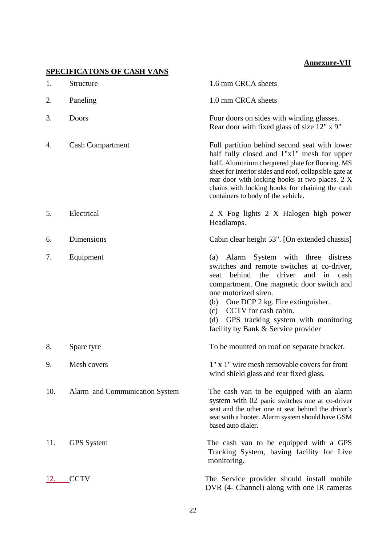## **Annexure-VII**

| 1.  | <b>SPECIFICATONS OF CASH VANS</b><br>Structure | 1.6 mm CRCA sheets                                                                                                                                                                                                                                                                                                                                                       |
|-----|------------------------------------------------|--------------------------------------------------------------------------------------------------------------------------------------------------------------------------------------------------------------------------------------------------------------------------------------------------------------------------------------------------------------------------|
|     |                                                |                                                                                                                                                                                                                                                                                                                                                                          |
| 2.  | Paneling                                       | 1.0 mm CRCA sheets                                                                                                                                                                                                                                                                                                                                                       |
| 3.  | Doors                                          | Four doors on sides with winding glasses.<br>Rear door with fixed glass of size 12" x 9"                                                                                                                                                                                                                                                                                 |
| 4.  | <b>Cash Compartment</b>                        | Full partition behind second seat with lower<br>half fully closed and 1"x1" mesh for upper<br>half. Aluminium chequered plate for flooring. MS<br>sheet for interior sides and roof, collapsible gate at<br>rear door with locking hooks at two places. 2 X<br>chains with locking hooks for chaining the cash<br>containers to body of the vehicle.                     |
| 5.  | Electrical                                     | 2 X Fog lights 2 X Halogen high power<br>Headlamps.                                                                                                                                                                                                                                                                                                                      |
| 6.  | Dimensions                                     | Cabin clear height 53". [On extended chassis]                                                                                                                                                                                                                                                                                                                            |
| 7.  | Equipment                                      | Alarm System with three<br>distress<br>(a)<br>switches and remote switches at co-driver,<br>behind the driver and<br>in cash<br>seat<br>compartment. One magnetic door switch and<br>one motorized siren.<br>One DCP 2 kg. Fire extinguisher.<br>(b)<br>CCTV for cash cabin.<br>(c)<br>GPS tracking system with monitoring<br>(d)<br>facility by Bank & Service provider |
| 8.  | Spare tyre                                     | To be mounted on roof on separate bracket.                                                                                                                                                                                                                                                                                                                               |
| 9.  | Mesh covers                                    | 1" x 1" wire mesh removable covers for front<br>wind shield glass and rear fixed glass.                                                                                                                                                                                                                                                                                  |
| 10. | Alarm and Communication System                 | The cash van to be equipped with an alarm<br>system with 02 panic switches one at co-driver<br>seat and the other one at seat behind the driver's<br>seat with a hooter. Alarm system should have GSM<br>based auto dialer.                                                                                                                                              |
| 11. | <b>GPS</b> System                              | The cash van to be equipped with a GPS<br>Tracking System, having facility for Live<br>monitoring.                                                                                                                                                                                                                                                                       |
| 12. | <b>CCTV</b>                                    | The Service provider should install mobile<br>DVR (4- Channel) along with one IR cameras                                                                                                                                                                                                                                                                                 |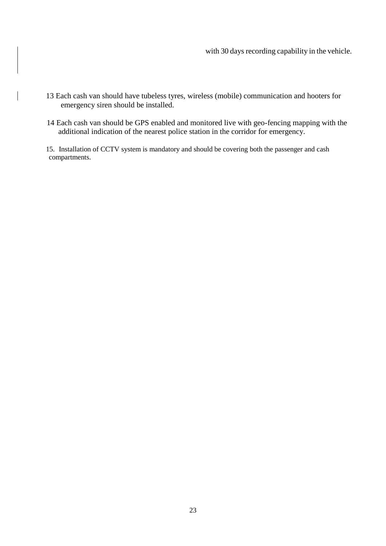- 13 Each cash van should have tubeless tyres, wireless (mobile) communication and hooters for emergency siren should be installed.
- 14 Each cash van should be GPS enabled and monitored live with geo-fencing mapping with the additional indication of the nearest police station in the corridor for emergency.
- 15. Installation of CCTV system is mandatory and should be covering both the passenger and cash compartments.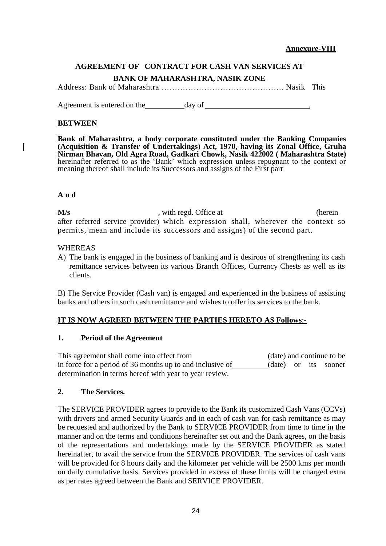#### **Annexure-VIII**

## **AGREEMENT OF CONTRACT FOR CASH VAN SERVICES AT BANK OF MAHARASHTRA, NASIK ZONE**

Address: Bank of Maharashtra ………………………………………. Nasik This

Agreement is entered on the day of  $\frac{1}{2}$ 

#### **BETWEEN**

**Bank of Maharashtra, a body corporate constituted under the Banking Companies (Acquisition & Transfer of Undertakings) Act, 1970, having its Zonal Office, Gruha Nirman Bhavan, Old Agra Road, Gadkari Chowk, Nasik 422002 ( Maharashtra State)**  hereinafter referred to as the 'Bank' which expression unless repugnant to the context or meaning thereof shall include its Successors and assigns of the First part

#### **A n d**

**M/s** extended. Office at (herein in the extended) with regd. Office at after referred service provider) which expression shall, wherever the context so permits, mean and include its successors and assigns) of the second part.

#### WHEREAS

A) The bank is engaged in the business of banking and is desirous of strengthening its cash remittance services between its various Branch Offices, Currency Chests as well as its clients.

B) The Service Provider (Cash van) is engaged and experienced in the business of assisting banks and others in such cash remittance and wishes to offer its services to the bank.

#### **IT IS NOW AGREED BETWEEN THE PARTIES HERETO AS Follows**:-

#### **1. Period of the Agreement**

This agreement shall come into effect from (date) and continue to be in force for a period of 36 months up to and inclusive of (date) or its sooner determination in terms hereof with year to year review.

#### **2. The Services.**

The SERVICE PROVIDER agrees to provide to the Bank its customized Cash Vans (CCVs) with drivers and armed Security Guards and in each of cash van for cash remittance as may be requested and authorized by the Bank to SERVICE PROVIDER from time to time in the manner and on the terms and conditions hereinafter set out and the Bank agrees, on the basis of the representations and undertakings made by the SERVICE PROVIDER as stated hereinafter, to avail the service from the SERVICE PROVIDER. The services of cash vans will be provided for 8 hours daily and the kilometer per vehicle will be 2500 kms per month on daily cumulative basis. Services provided in excess of these limits will be charged extra as per rates agreed between the Bank and SERVICE PROVIDER.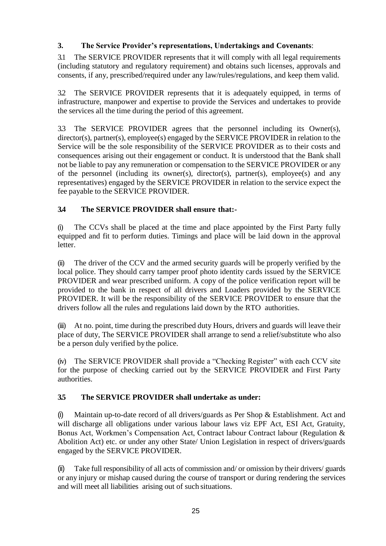## **3. The Service Provider's representations, Undertakings and Covenants**:

3.1 The SERVICE PROVIDER represents that it will comply with all legal requirements (including statutory and regulatory requirement) and obtains such licenses, approvals and consents, if any, prescribed/required under any law/rules/regulations, and keep them valid.

3.2 The SERVICE PROVIDER represents that it is adequately equipped, in terms of infrastructure, manpower and expertise to provide the Services and undertakes to provide the services all the time during the period of this agreement.

3.3 The SERVICE PROVIDER agrees that the personnel including its Owner(s), director(s), partner(s), employee(s) engaged by the SERVICE PROVIDER in relation to the Service will be the sole responsibility of the SERVICE PROVIDER as to their costs and consequences arising out their engagement or conduct. It is understood that the Bank shall not be liable to pay any remuneration or compensation to the SERVICE PROVIDER or any of the personnel (including its owner(s), director(s), partner(s), employee(s) and any representatives) engaged by the SERVICE PROVIDER in relation to the service expect the fee payable to the SERVICE PROVIDER.

## **3.4 The SERVICE PROVIDER shall ensure that:-**

(i) The CCVs shall be placed at the time and place appointed by the First Party fully equipped and fit to perform duties. Timings and place will be laid down in the approval letter.

(ii) The driver of the CCV and the armed security guards will be properly verified by the local police. They should carry tamper proof photo identity cards issued by the SERVICE PROVIDER and wear prescribed uniform. A copy of the police verification report will be provided to the bank in respect of all drivers and Loaders provided by the SERVICE PROVIDER. It will be the responsibility of the SERVICE PROVIDER to ensure that the drivers follow all the rules and regulations laid down by the RTO authorities.

(iii) At no. point, time during the prescribed duty Hours, drivers and guards will leave their place of duty, The SERVICE PROVIDER shall arrange to send a relief/substitute who also be a person duly verified by the police.

(iv) The SERVICE PROVIDER shall provide a "Checking Register" with each CCV site for the purpose of checking carried out by the SERVICE PROVIDER and First Party authorities.

## **3.5 The SERVICE PROVIDER shall undertake as under:**

(i) Maintain up-to-date record of all drivers/guards as Per Shop & Establishment. Act and will discharge all obligations under various labour laws viz EPF Act, ESI Act, Gratuity, Bonus Act, Workmen's Compensation Act, Contract labour Contract labour (Regulation & Abolition Act) etc. or under any other State/ Union Legislation in respect of drivers/guards engaged by the SERVICE PROVIDER.

(ii) Take full responsibility of all acts of commission and/ or omission by their drivers/ guards or any injury or mishap caused during the course of transport or during rendering the services and will meet all liabilities arising out of such situations.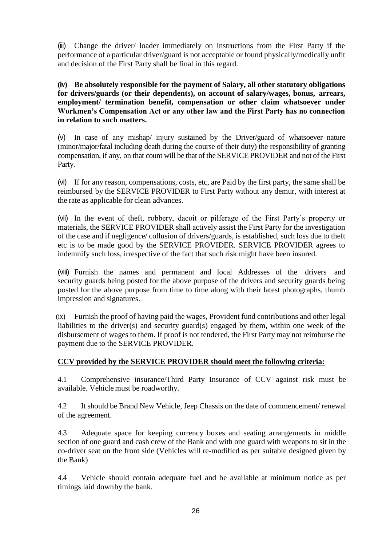(iii) Change the driver/ loader immediately on instructions from the First Party if the performance of a particular driver/guard is not acceptable or found physically/medically unfit and decision of the First Party shall be final in this regard.

**(iv) Be absolutely responsible for the payment of Salary, all other statutory obligations for drivers/guards (or their dependents), on account of salary/wages, bonus, arrears, employment/ termination benefit, compensation or other claim whatsoever under Workmen's Compensation Act or any other law and the First Party has no connection in relation to such matters.**

(v) In case of any mishap/ injury sustained by the Driver/guard of whatsoever nature (minor/major/fatal including death during the course of their duty) the responsibility of granting compensation, if any, on that count will be that of the SERVICE PROVIDER and not of the First Party.

(vi) If for any reason, compensations, costs, etc, are Paid by the first party, the same shall be reimbursed by the SERVICE PROVIDER to First Party without any demur, with interest at the rate as applicable for clean advances.

(vii) In the event of theft, robbery, dacoit or pilferage of the First Party's property or materials, the SERVICE PROVIDER shall actively assist the First Party for the investigation of the case and if negligence/ collusion of drivers/guards, is established, such loss due to theft etc is to be made good by the SERVICE PROVIDER. SERVICE PROVIDER agrees to indemnify such loss, irrespective of the fact that such risk might have been insured.

(viii) Furnish the names and permanent and local Addresses of the drivers and security guards being posted for the above purpose of the drivers and security guards being posted for the above purpose from time to time along with their latest photographs, thumb impression and signatures.

(ix) Furnish the proof of having paid the wages, Provident fund contributions and other legal liabilities to the driver(s) and security guard(s) engaged by them, within one week of the disbursement of wages to them. If proof is not tendered, the First Party may not reimburse the payment due to the SERVICE PROVIDER.

### **CCV provided by the SERVICE PROVIDER should meet the following criteria:**

4.1 Comprehensive insurance/Third Party Insurance of CCV against risk must be available. Vehicle must be roadworthy.

4.2 It should be Brand New Vehicle, Jeep Chassis on the date of commencement/ renewal of the agreement.

4.3 Adequate space for keeping currency boxes and seating arrangements in middle section of one guard and cash crew of the Bank and with one guard with weapons to sit in the co-driver seat on the front side (Vehicles will re-modified as per suitable designed given by the Bank)

4.4 Vehicle should contain adequate fuel and be available at minimum notice as per timings laid downby the bank.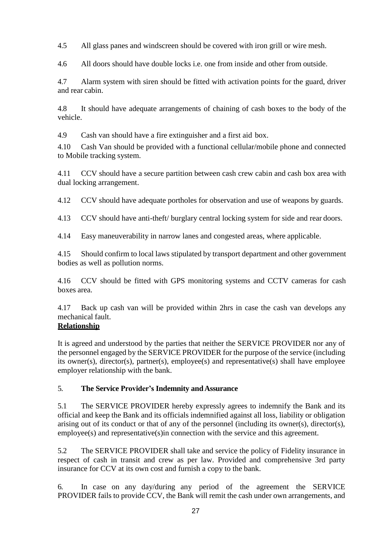4.5 All glass panes and windscreen should be covered with iron grill or wire mesh.

4.6 All doors should have double locks i.e. one from inside and other from outside.

4.7 Alarm system with siren should be fitted with activation points for the guard, driver and rear cabin.

4.8 It should have adequate arrangements of chaining of cash boxes to the body of the vehicle.

4.9 Cash van should have a fire extinguisher and a first aid box.

4.10 Cash Van should be provided with a functional cellular/mobile phone and connected to Mobile tracking system.

4.11 CCV should have a secure partition between cash crew cabin and cash box area with dual locking arrangement.

4.12 CCV should have adequate portholes for observation and use of weapons by guards.

4.13 CCV should have anti-theft/ burglary central locking system for side and rear doors.

4.14 Easy maneuverability in narrow lanes and congested areas, where applicable.

4.15 Should confirm to local laws stipulated by transport department and other government bodies as well as pollution norms.

4.16 CCV should be fitted with GPS monitoring systems and CCTV cameras for cash boxes area.

4.17 Back up cash van will be provided within 2hrs in case the cash van develops any mechanical fault.

## **Relationship**

It is agreed and understood by the parties that neither the SERVICE PROVIDER nor any of the personnel engaged by the SERVICE PROVIDER for the purpose of the service (including its owner(s), director(s), partner(s), employee(s) and representative(s) shall have employee employer relationship with the bank.

### 5. **The Service Provider's Indemnity andAssurance**

5.1 The SERVICE PROVIDER hereby expressly agrees to indemnify the Bank and its official and keep the Bank and its officials indemnified against all loss, liability or obligation arising out of its conduct or that of any of the personnel (including its owner(s), director(s), employee(s) and representative(s)in connection with the service and this agreement.

5.2 The SERVICE PROVIDER shall take and service the policy of Fidelity insurance in respect of cash in transit and crew as per law. Provided and comprehensive 3rd party insurance for CCV at its own cost and furnish a copy to the bank.

6. In case on any day/during any period of the agreement the SERVICE PROVIDER fails to provide CCV, the Bank will remit the cash under own arrangements, and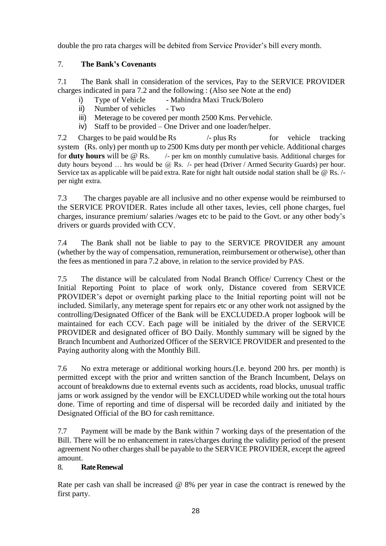double the pro rata charges will be debited from Service Provider's bill every month.

## 7. **The Bank's Covenants**

7.1 The Bank shall in consideration of the services, Pay to the SERVICE PROVIDER charges indicated in para 7.2 and the following : (Also see Note at the end)

- i) Type of Vehicle Mahindra Maxi Truck/Bolero
- ii) Number of vehicles Two
- iii) Meterage to be covered per month 2500 Kms. Pervehicle.
- iv) Staff to be provided One Driver and one loader/helper.

7.2 Charges to be paid would be Rs /- plus Rs for vehicle tracking system (Rs. only) per month up to 2500 Kms duty per month per vehicle. Additional charges for **duty hours** will be @ Rs. /- per km on monthly cumulative basis. Additional charges for duty hours beyond ... hrs would be  $\widehat{\omega}$  Rs. /- per head (Driver / Armed Security Guards) per hour. Service tax as applicable will be paid extra. Rate for night halt outside nodal station shall be @ Rs. / per night extra.

7.3 The charges payable are all inclusive and no other expense would be reimbursed to the SERVICE PROVIDER. Rates include all other taxes, levies, cell phone charges, fuel charges, insurance premium/ salaries /wages etc to be paid to the Govt. or any other body's drivers or guards provided with CCV.

7.4 The Bank shall not be liable to pay to the SERVICE PROVIDER any amount (whether by the way of compensation, remuneration, reimbursement or otherwise), other than the fees as mentioned in para 7.2 above, in relation to the service provided by PAS.

7.5 The distance will be calculated from Nodal Branch Office/ Currency Chest or the Initial Reporting Point to place of work only, Distance covered from SERVICE PROVIDER's depot or overnight parking place to the Initial reporting point will not be included. Similarly, any meterage spent for repairs etc or any other work not assigned by the controlling/Designated Officer of the Bank will be EXCLUDED.A proper logbook will be maintained for each CCV. Each page will be initialed by the driver of the SERVICE PROVIDER and designated officer of BO Daily. Monthly summary will be signed by the Branch Incumbent and Authorized Officer of the SERVICE PROVIDER and presented to the Paying authority along with the Monthly Bill.

7.6 No extra meterage or additional working hours.(I.e. beyond 200 hrs. per month) is permitted except with the prior and written sanction of the Branch Incumbent, Delays on account of breakdowns due to external events such as accidents, road blocks, unusual traffic jams or work assigned by the vendor will be EXCLUDED while working out the total hours done. Time of reporting and time of dispersal will be recorded daily and initiated by the Designated Official of the BO for cash remittance.

7.7 Payment will be made by the Bank within 7 working days of the presentation of the Bill. There will be no enhancement in rates/charges during the validity period of the present agreement No other charges shall be payable to the SERVICE PROVIDER, except the agreed amount.

## 8. **RateRenewal**

Rate per cash van shall be increased @ 8% per year in case the contract is renewed by the first party.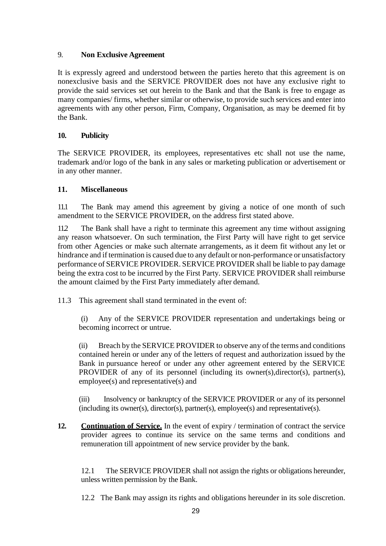## 9. **Non Exclusive Agreement**

It is expressly agreed and understood between the parties hereto that this agreement is on nonexclusive basis and the SERVICE PROVIDER does not have any exclusive right to provide the said services set out herein to the Bank and that the Bank is free to engage as many companies/ firms, whether similar or otherwise, to provide such services and enter into agreements with any other person, Firm, Company, Organisation, as may be deemed fit by the Bank.

## **10. Publicity**

The SERVICE PROVIDER, its employees, representatives etc shall not use the name, trademark and/or logo of the bank in any sales or marketing publication or advertisement or in any other manner.

### **11. Miscellaneous**

11.1 The Bank may amend this agreement by giving a notice of one month of such amendment to the SERVICE PROVIDER, on the address first stated above.

11.2 The Bank shall have a right to terminate this agreement any time without assigning any reason whatsoever. On such termination, the First Party will have right to get service from other Agencies or make such alternate arrangements, as it deem fit without any let or hindrance and if termination is caused due to any default or non-performance or unsatisfactory performance of SERVICE PROVIDER. SERVICE PROVIDER shall be liable to pay damage being the extra cost to be incurred by the First Party. SERVICE PROVIDER shall reimburse the amount claimed by the First Party immediately after demand.

11.3 This agreement shall stand terminated in the event of:

(i) Any of the SERVICE PROVIDER representation and undertakings being or becoming incorrect or untrue.

(ii) Breach by the SERVICE PROVIDER to observe any of the terms and conditions contained herein or under any of the letters of request and authorization issued by the Bank in pursuance hereof or under any other agreement entered by the SERVICE PROVIDER of any of its personnel (including its owner(s),director(s), partner(s), employee(s) and representative(s) and

(iii) Insolvency or bankruptcy of the SERVICE PROVIDER or any of its personnel (including its owner(s), director(s), partner(s), employee(s) and representative(s).

**12. Continuation of Service.** In the event of expiry / termination of contract the service provider agrees to continue its service on the same terms and conditions and remuneration till appointment of new service provider by the bank.

12.1 The SERVICE PROVIDER shall not assign the rights or obligations hereunder, unless written permission by the Bank.

12.2 The Bank may assign its rights and obligations hereunder in its sole discretion.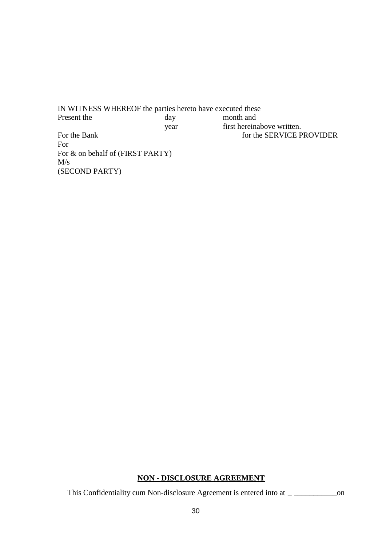IN WITNESS WHEREOF the parties hereto have executed these Present the day day month and year first hereinabove written.

For the Bank for the SERVICE PROVIDER For For & on behalf of (FIRST PARTY)  $M/s$ (SECOND PARTY)

#### **NON - DISCLOSURE AGREEMENT**

This Confidentiality cum Non-disclosure Agreement is entered into at \_ \_\_\_\_\_\_\_\_\_\_\_on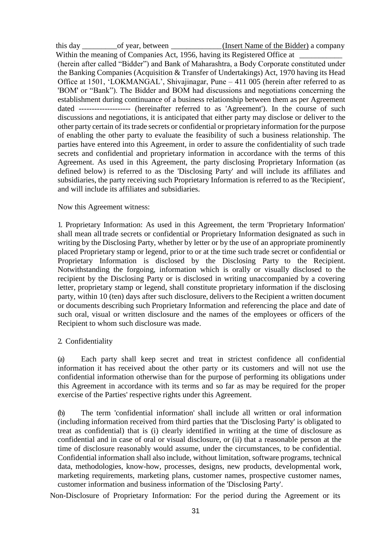this day \_\_\_\_\_\_\_\_\_of year, between \_\_\_\_\_\_\_\_\_\_\_\_\_(Insert Name of the Bidder) a company Within the meaning of Companies Act, 1956, having its Registered Office at (herein after called "Bidder") and Bank of Maharashtra, a Body Corporate constituted under the Banking Companies (Acquisition & Transfer of Undertakings) Act, 1970 having its Head Office at 1501, 'LOKMANGAL', Shivajinagar, Pune – 411 005 (herein after referred to as 'BOM' or "Bank"). The Bidder and BOM had discussions and negotiations concerning the establishment during continuance of a business relationship between them as per Agreement dated -------------------- (hereinafter referred to as 'Agreement'). In the course of such discussions and negotiations, it is anticipated that either party may disclose or deliver to the other party certain of its trade secrets or confidential or proprietary information for the purpose of enabling the other party to evaluate the feasibility of such a business relationship. The parties have entered into this Agreement, in order to assure the confidentiality of such trade secrets and confidential and proprietary information in accordance with the terms of this Agreement. As used in this Agreement, the party disclosing Proprietary Information (as defined below) is referred to as the 'Disclosing Party' and will include its affiliates and subsidiaries, the party receiving such Proprietary Information is referred to as the 'Recipient', and will include its affiliates and subsidiaries.

#### Now this Agreement witness:

1. Proprietary Information: As used in this Agreement, the term 'Proprietary Information' shall mean all trade secrets or confidential or Proprietary Information designated as such in writing by the Disclosing Party, whether by letter or by the use of an appropriate prominently placed Proprietary stamp or legend, prior to or at the time such trade secret or confidential or Proprietary Information is disclosed by the Disclosing Party to the Recipient. Notwithstanding the forgoing, information which is orally or visually disclosed to the recipient by the Disclosing Party or is disclosed in writing unaccompanied by a covering letter, proprietary stamp or legend, shall constitute proprietary information if the disclosing party, within 10 (ten) days after such disclosure, delivers to the Recipient a written document or documents describing such Proprietary Information and referencing the place and date of such oral, visual or written disclosure and the names of the employees or officers of the Recipient to whom such disclosure was made.

#### 2. Confidentiality

(a) Each party shall keep secret and treat in strictest confidence all confidential information it has received about the other party or its customers and will not use the confidential information otherwise than for the purpose of performing its obligations under this Agreement in accordance with its terms and so far as may be required for the proper exercise of the Parties' respective rights under this Agreement.

(b) The term 'confidential information' shall include all written or oral information (including information received from third parties that the 'Disclosing Party' is obligated to treat as confidential) that is (i) clearly identified in writing at the time of disclosure as confidential and in case of oral or visual disclosure, or (ii) that a reasonable person at the time of disclosure reasonably would assume, under the circumstances, to be confidential. Confidential information shall also include, without limitation, software programs, technical data, methodologies, know-how, processes, designs, new products, developmental work, marketing requirements, marketing plans, customer names, prospective customer names, customer information and business information of the 'Disclosing Party'.

Non-Disclosure of Proprietary Information: For the period during the Agreement or its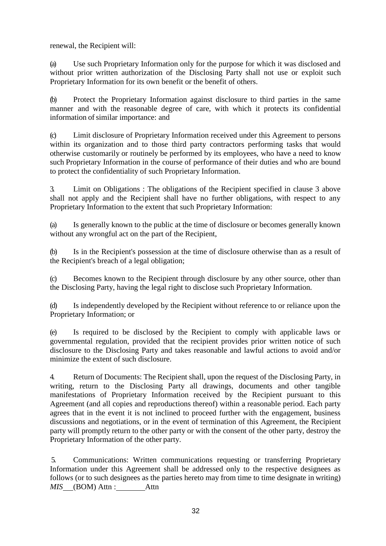renewal, the Recipient will:

(a) Use such Proprietary Information only for the purpose for which it was disclosed and without prior written authorization of the Disclosing Party shall not use or exploit such Proprietary Information for its own benefit or the benefit of others.

(b) Protect the Proprietary Information against disclosure to third parties in the same manner and with the reasonable degree of care, with which it protects its confidential information of similar importance: and

(c) Limit disclosure of Proprietary Information received under this Agreement to persons within its organization and to those third party contractors performing tasks that would otherwise customarily or routinely be performed by its employees, who have a need to know such Proprietary Information in the course of performance of their duties and who are bound to protect the confidentiality of such Proprietary Information.

3. Limit on Obligations : The obligations of the Recipient specified in clause 3 above shall not apply and the Recipient shall have no further obligations, with respect to any Proprietary Information to the extent that such Proprietary Information:

(a) Is generally known to the public at the time of disclosure or becomes generally known without any wrongful act on the part of the Recipient,

(b) Is in the Recipient's possession at the time of disclosure otherwise than as a result of the Recipient's breach of a legal obligation;

(c) Becomes known to the Recipient through disclosure by any other source, other than the Disclosing Party, having the legal right to disclose such Proprietary Information.

(d) Is independently developed by the Recipient without reference to or reliance upon the Proprietary Information; or

(e) Is required to be disclosed by the Recipient to comply with applicable laws or governmental regulation, provided that the recipient provides prior written notice of such disclosure to the Disclosing Party and takes reasonable and lawful actions to avoid and/or minimize the extent of such disclosure.

4. Return of Documents: The Recipient shall, upon the request of the Disclosing Party, in writing, return to the Disclosing Party all drawings, documents and other tangible manifestations of Proprietary Information received by the Recipient pursuant to this Agreement (and all copies and reproductions thereof) within a reasonable period. Each party agrees that in the event it is not inclined to proceed further with the engagement, business discussions and negotiations, or in the event of termination of this Agreement, the Recipient party will promptly return to the other party or with the consent of the other party, destroy the Proprietary Information of the other party.

5. Communications: Written communications requesting or transferring Proprietary Information under this Agreement shall be addressed only to the respective designees as follows (or to such designees as the parties hereto may from time to time designate in writing) *MIS* (BOM) Attn : Attn